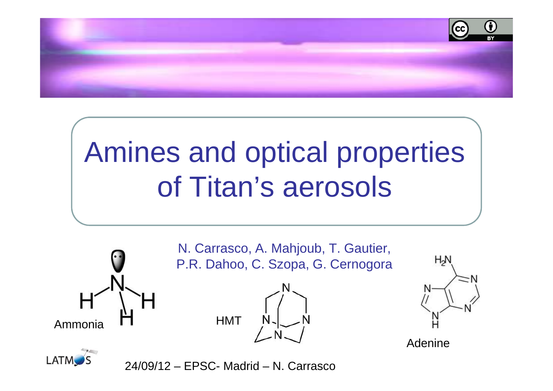

# Amines and optical propertiesof Titan's aerosols



**LATM**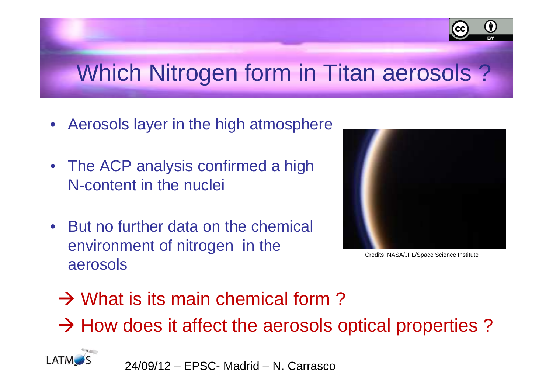

# Which Nitrogen form in Titan aerosols ?

- Aerosols layer in the high atmosphere
- The ACP analysis confirmed a high N-content in the nuclei
- But no further data on the chemical environment of nitrogen in the aerosols



Credits: NASA/JPL/Space Science Institute

- → What is its main chemical form?
- $\rightarrow$  How does it affect the aerosols optical properties ?

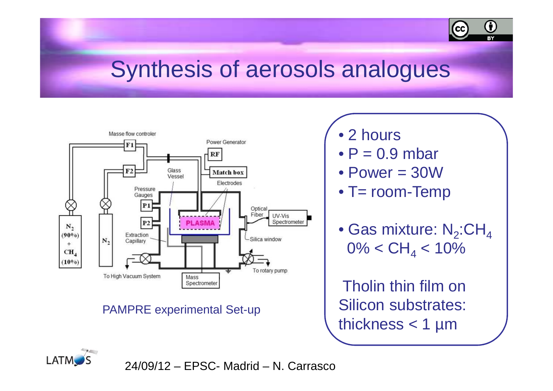

### Synthesis of aerosols analogues



#### PAMPRE experimental Set-up

- 2 hours
- $\bullet$  P = 0.9 mbar
- Power = 30W
- T= room-Temp
- $\bullet$  Gas mixture: N $_2$ :CH $_4$ 0%  $<$  CH $_{4}$   $<$  1  $_{4}$  < 10%

Tholin thin film on Silicon substrates: thickness  $<$  1 µm

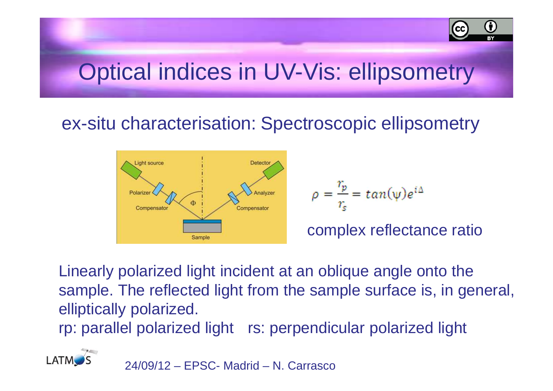### Optical indices in UV-Vis: ellipsometry

### ex-situ characterisation: Spectroscopic ellipsometry



$$
\rho = \frac{r_p}{r_s} = \tan(\psi) e^{i\Delta}
$$

complex reflectance ratio

G

l cc

Linearly polarized light incident at an oblique angle onto the sample. The reflected light from the sample surface is, in general, elliptically polarized.

rp: parallel polarized light rs: perpendicular polarized light

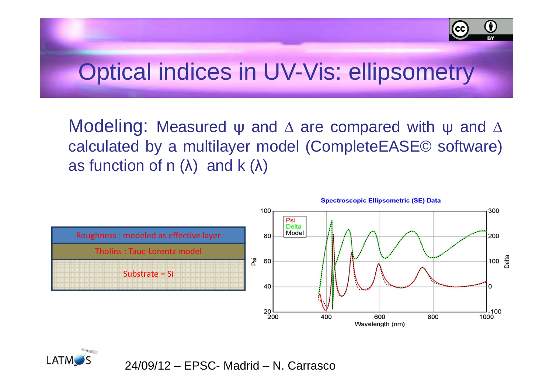

### Optical indices in UV-Vis: ellipsometry

Modeling: Measured <sup>ψ</sup> and <sup>∆</sup> are compared with <sup>ψ</sup> and <sup>∆</sup> calculated by <sup>a</sup> multilayer model (CompleteEASE© software)as function of n  $(\lambda)$  and k  $(\lambda)$ 



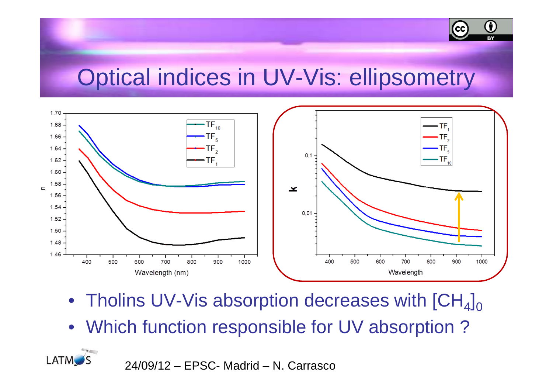

### Optical indices in UV-Vis: ellipsometry



- $\bullet~$  Tholins UV-Vis absorption decreases with [CH $_4]_0$
- Which function responsible for UV absorption ?

24/09/12 – EPSC- Madrid – N. Carrasco

**LATM**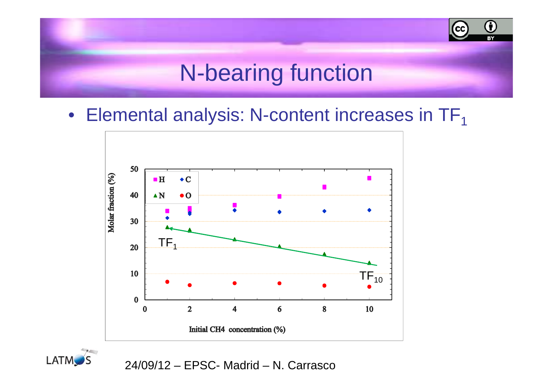#### Œ (cc`  $\overline{\mathbf{B}}$ N-bearing function

 $\bullet~$  Elemental analysis: N-content increases in TF $_1$ 



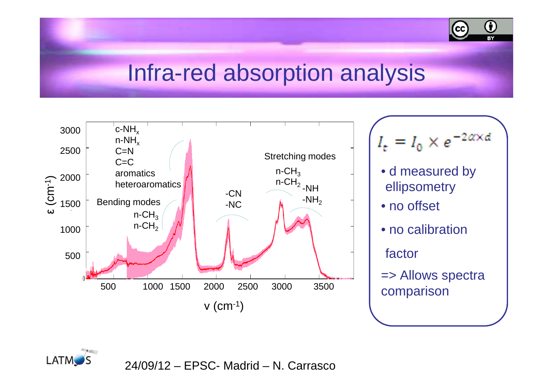

### Infra-red absorption analysis



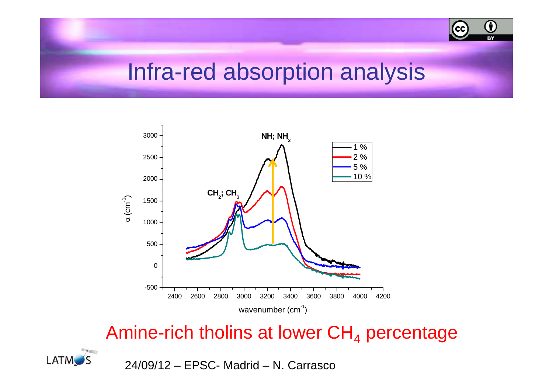

### Infra-red absorption analysis



#### Amine-rich tholins at lower CH $_{\rm 4}$  $_4$  percentage

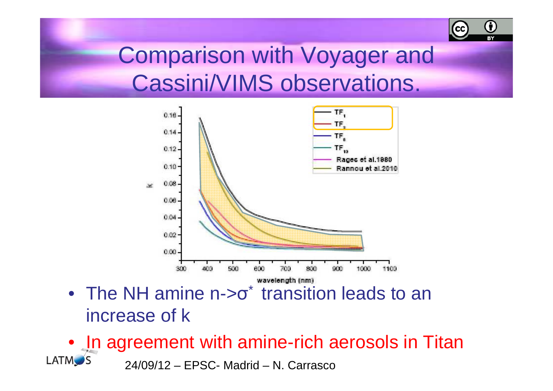#### Œ (cc

### Comparison with Voyager and Cassini/VIMS observations.



- The NH amine n->σ<sup>\*</sup> transition leads to an increase of k
- In agreement with amine-rich aerosols in Titan**LATM**S 24/09/12 – EPSC- Madrid – N. Carrasco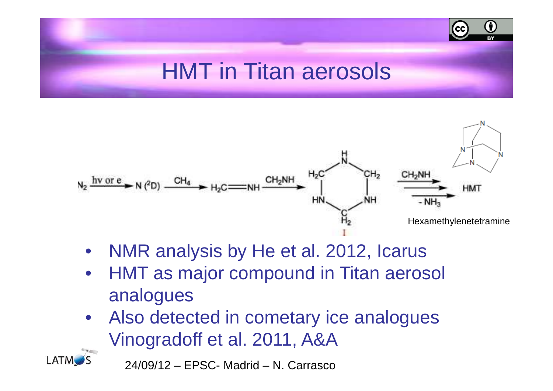## HMT in Titan aerosols

G



- $\bullet$ NMR analysis by He et al. 2012, Icarus
- HMT as major compound in Titan aerosol •analogues
- Also detected in cometary ice analogues  $\bullet$ Vinogradoff et al. 2011, A&A